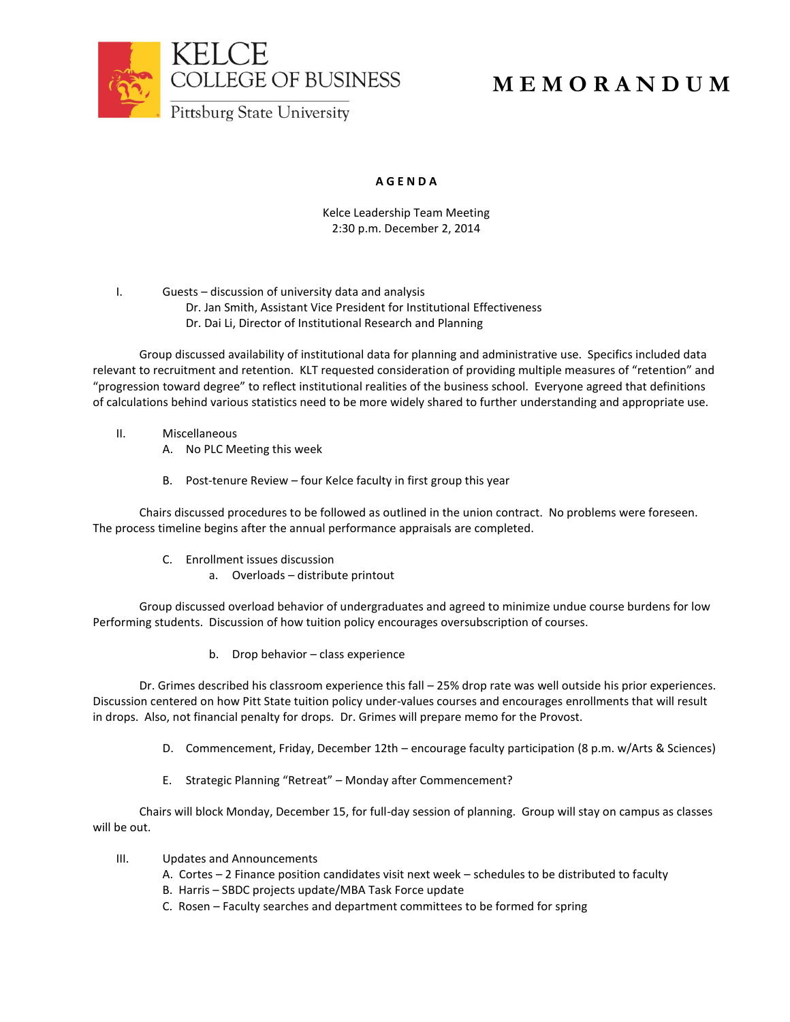

## **M E M O R A N D U M**

## **A G E N D A**

Kelce Leadership Team Meeting 2:30 p.m. December 2, 2014

I. Guests – discussion of university data and analysis Dr. Jan Smith, Assistant Vice President for Institutional Effectiveness Dr. Dai Li, Director of Institutional Research and Planning

Group discussed availability of institutional data for planning and administrative use. Specifics included data relevant to recruitment and retention. KLT requested consideration of providing multiple measures of "retention" and "progression toward degree" to reflect institutional realities of the business school. Everyone agreed that definitions of calculations behind various statistics need to be more widely shared to further understanding and appropriate use.

- II. Miscellaneous
	- A. No PLC Meeting this week
	- B. Post-tenure Review four Kelce faculty in first group this year

Chairs discussed procedures to be followed as outlined in the union contract. No problems were foreseen. The process timeline begins after the annual performance appraisals are completed.

- C. Enrollment issues discussion
	- a. Overloads distribute printout

Group discussed overload behavior of undergraduates and agreed to minimize undue course burdens for low Performing students. Discussion of how tuition policy encourages oversubscription of courses.

b. Drop behavior – class experience

Dr. Grimes described his classroom experience this fall – 25% drop rate was well outside his prior experiences. Discussion centered on how Pitt State tuition policy under-values courses and encourages enrollments that will result in drops. Also, not financial penalty for drops. Dr. Grimes will prepare memo for the Provost.

- D. Commencement, Friday, December 12th encourage faculty participation (8 p.m. w/Arts & Sciences)
- E. Strategic Planning "Retreat" Monday after Commencement?

Chairs will block Monday, December 15, for full-day session of planning. Group will stay on campus as classes will be out.

- III. Updates and Announcements
	- A. Cortes 2 Finance position candidates visit next week schedules to be distributed to faculty
	- B. Harris SBDC projects update/MBA Task Force update
	- C. Rosen Faculty searches and department committees to be formed for spring